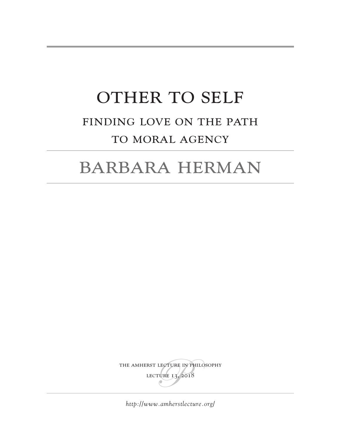# OTHER TO SELF Finding Love on The Path TO MORAL AGENCY

## Barbara Herman

THE AMHERST LECTURE IN PHILOSOPHY lecture 13, 2018

*<http://www.amherstlecture.org/>*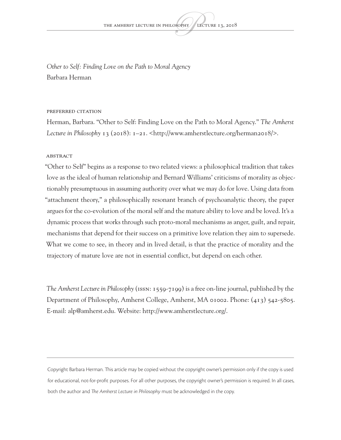*Other to Self: Finding Love on the Path to Moral Agency* Barbara Herman

#### Preferred citation

Herman, Barbara. "Other to Self: Finding Love on the Path to Moral Agency." *The Amherst Lecture in Philosophy* 13 (2018): 1–21. <http://www.amherstlecture.org/herman2018/>.

#### **ABSTRACT**

"Other to Self" begins as a response to two related views: a philosophical tradition that takes love as the ideal of human relationship and Bernard Williams' criticisms of morality as objectionably presumptuous in assuming authority over what we may do for love. Using data from "attachment theory," a philosophically resonant branch of psychoanalytic theory, the paper argues for the co-evolution of the moral self and the mature ability to love and be loved. It's a dynamic process that works through such proto-moral mechanisms as anger, guilt, and repair, mechanisms that depend for their success on a primitive love relation they aim to supersede. What we come to see, in theory and in lived detail, is that the practice of morality and the trajectory of mature love are not in essential conflict, but depend on each other.

*The Amherst Lecture in Philosophy* (ISSN: 1559-7199) is a free on-line journal, published by the Department of Philosophy, Amherst College, Amherst, MA 01002. Phone: (413) 542-5805. E-mail: alp@amherst.edu. Website:<http://www.amherstlecture.org/>.

Copyright Barbara Herman. This article may be copied without the copyright owner's permission only if the copy is used for educational, not-for-profit purposes. For all other purposes, the copyright owner's permission is required. In all cases, both the author and *The Amherst Lecture in Philosophy* must be acknowledged in the copy.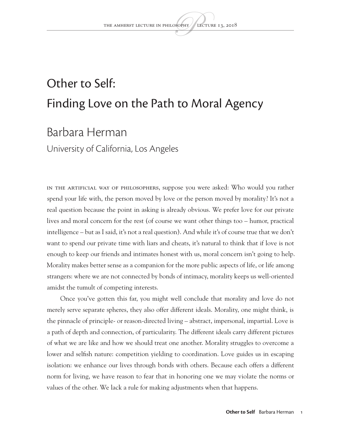## Other to Self: Finding Love on the Path to Moral Agency

### Barbara Herman

University of California, Los Angeles

In the artificial way of philosophers, suppose you were asked: Who would you rather spend your life with, the person moved by love or the person moved by morality? It's not a real question because the point in asking is already obvious. We prefer love for our private lives and moral concern for the rest (of course we want other things too – humor, practical intelligence – but as I said, it's not a real question). And while it's of course true that we don't want to spend our private time with liars and cheats, it's natural to think that if love is not enough to keep our friends and intimates honest with us, moral concern isn't going to help. Morality makes better sense as a companion for the more public aspects of life, or life among strangers: where we are not connected by bonds of intimacy, morality keeps us well-oriented amidst the tumult of competing interests.

Once you've gotten this far, you might well conclude that morality and love do not merely serve separate spheres, they also offer different ideals. Morality, one might think, is the pinnacle of principle- or reason-directed living – abstract, impersonal, impartial. Love is a path of depth and connection, of particularity. The different ideals carry different pictures of what we are like and how we should treat one another. Morality struggles to overcome a lower and selfish nature: competition yielding to coordination. Love guides us in escaping isolation: we enhance our lives through bonds with others. Because each offers a different norm for living, we have reason to fear that in honoring one we may violate the norms or values of the other. We lack a rule for making adjustments when that happens.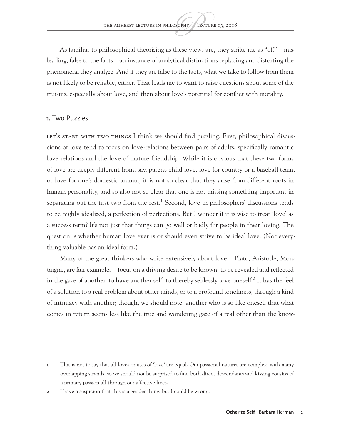As familiar to philosophical theorizing as these views are, they strike me as "off" – misleading, false to the facts – an instance of analytical distinctions replacing and distorting the phenomena they analyze. And if they are false to the facts, what we take to follow from them is not likely to be reliable, either. That leads me to want to raise questions about some of the truisms, especially about love, and then about love's potential for conflict with morality.

#### 1. Two Puzzles

LET's START WITH TWO THINGS I think we should find puzzling. First, philosophical discussions of love tend to focus on love-relations between pairs of adults, specifically romantic love relations and the love of mature friendship. While it is obvious that these two forms of love are deeply different from, say, parent-child love, love for country or a baseball team, or love for one's domestic animal, it is not so clear that they arise from different roots in human personality, and so also not so clear that one is not missing something important in separating out the first two from the rest.<sup>1</sup> Second, love in philosophers' discussions tends to be highly idealized, a perfection of perfections. But I wonder if it is wise to treat 'love' as a success term? It's not just that things can go well or badly for people in their loving. The question is whether human love ever is or should even strive to be ideal love. (Not everything valuable has an ideal form.)

Many of the great thinkers who write extensively about love – Plato, Aristotle, Montaigne, are fair examples – focus on a driving desire to be known, to be revealed and reflected in the gaze of another, to have another self, to thereby selflessly love oneself.<sup>2</sup> It has the feel of a solution to a real problem about other minds, or to a profound loneliness, through a kind of intimacy with another; though, we should note, another who is so like oneself that what comes in return seems less like the true and wondering gaze of a real other than the know-

<sup>1</sup> This is not to say that all loves or uses of 'love' are equal. Our passional natures are complex, with many overlapping strands, so we should not be surprised to find both direct descendants and kissing cousins of a primary passion all through our affective lives.

<sup>2</sup> I have a suspicion that this is a gender thing, but I could be wrong.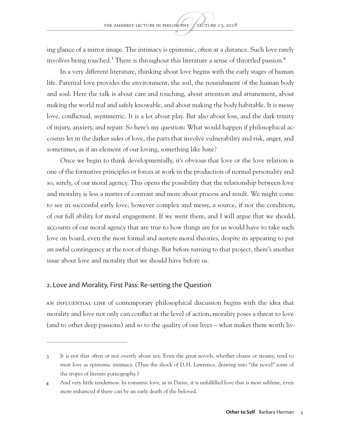ing glance of a mirror image. The intimacy is epistemic, often at a distance. Such love rarely involves being touched.<sup>3</sup> There is throughout this literature a sense of throttled passion.<sup>4</sup>

In a very different literature, thinking about love begins with the early stages of human life. Parental love provides the environment, the soil, the nourishment of the human body and soul. Here the talk is about care and touching, about attention and attunement, about making the world real and safely knowable, and about making the body habitable. It is messy love, conflictual, asymmetric. It is a lot about play. But also about loss, and the dark trinity of injury, anxiety, and repair. So here's my question: What would happen if philosophical accounts let in the darker sides of love, the parts that involve vulnerability and risk, anger, and sometimes, as if an element of our loving, something like hate?

Once we begin to think developmentally, it's obvious that love or the love relation is one of the formative principles or forces at work in the production of normal personality and so, surely, of our moral agency. This opens the possibility that the relationship between love and morality is less a matter of contrast and more about process and result. We might come to see in successful early love, however complex and messy, a source, if not the condition, of our full ability for moral engagement. If we went there, and I will argue that we should, accounts of our moral agency that are true to how things are for us would have to take such love on board, even the most formal and austere moral theories, despite its appearing to put an awful contingency at the root of things. But before turning to that project, there's another issue about love and morality that we should have before us.

#### 2. Love and Morality, First Pass: Re-setting the Question

An influential line of contemporary philosophical discussion begins with the idea that morality and love not only can conflict at the level of action, morality poses a threat to love (and to other deep passions) and so to the quality of our lives – what makes them worth liv-

<sup>3</sup> It is not that often or not overtly about sex. Even the great novels, whether chaste or steamy, tend to treat love as epistemic intimacy. (Thus the shock of D.H. Lawrence, drawing into "the novel" some of the tropes of literate pornography.)

<sup>4</sup> And very little tenderness. In romantic love, as in Dante, it is unfulfilled love that is most sublime, even more enhanced if there can be an early death of the beloved.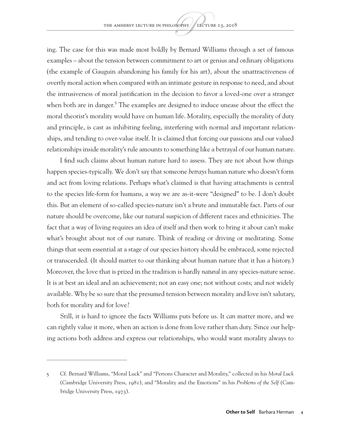ing. The case for this was made most boldly by Bernard Williams through a set of famous examples – about the tension between commitment to art or genius and ordinary obligations (the example of Gauguin abandoning his family for his art), about the unattractiveness of overtly moral action when compared with an intimate gesture in response to need, and about the intrusiveness of moral justification in the decision to favor a loved-one over a stranger when both are in danger.<sup>5</sup> The examples are designed to induce unease about the effect the moral theorist's morality would have on human life. Morality, especially the morality of duty and principle, is cast as inhibiting feeling, interfering with normal and important relationships, and tending to over-value itself. It is claimed that forcing our passions and our valued relationships inside morality's rule amounts to something like a betrayal of our human nature.

I find such claims about human nature hard to assess. They are not about how things happen species-typically. We don't say that someone *betrays* human nature who doesn't form and act from loving relations. Perhaps what's claimed is that having attachments is central to the species life-form for humans, a way we are as-it-were "designed" to be. I don't doubt this. But an element of so-called species-nature isn't a brute and immutable fact. Parts of our nature should be overcome, like our natural suspicion of different races and ethnicities. The fact that a way of living requires an idea of itself and then work to bring it about can't make what's brought about *not* of our nature. Think of reading or driving or meditating. Some things that seem essential at a stage of our species history should be embraced, some rejected or transcended. (It should matter to our thinking about human nature that it has a history.) Moreover, the love that is prized in the tradition is hardly *natural* in any species-nature sense. It is at best an ideal and an achievement; not an easy one; not without costs; and not widely available. Why be so sure that the presumed tension between morality and love isn't salutary, both for morality and for love?

Still, it is hard to ignore the facts Williams puts before us. It *can* matter more, and we can rightly value it more, when an action is done from love rather than duty. Since our helping actions both address and express our relationships, who would want morality always to

<sup>5</sup> Cf. Bernard Williams, "Moral Luck" and "Persons Character and Morality," collected in his *Moral Luck* (Cambridge University Press, 1981), and "Morality and the Emotions" in his *Problems of the Self* (Cambridge University Press, 1973).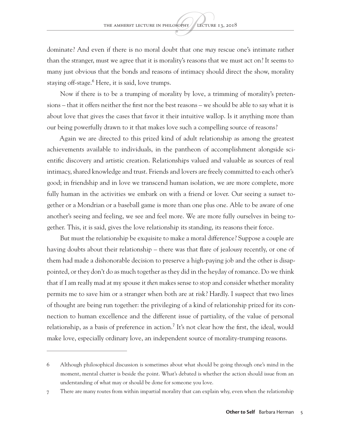dominate? And even if there is no moral doubt that one *may* rescue one's intimate rather than the stranger, must we agree that it is morality's reasons that we must act on? It seems to many just obvious that the bonds and reasons of intimacy should direct the show, morality staying off-stage.<sup>6</sup> Here, it is said, love trumps.

Now if there is to be a trumping of morality by love, a trimming of morality's pretensions – that it offers neither the first nor the best reasons – we should be able to say what it is about love that gives the cases that favor it their intuitive wallop. Is it anything more than our being powerfully drawn to it that makes love such a compelling source of reasons?

Again we are directed to this prized kind of adult relationship as among the greatest achievements available to individuals, in the pantheon of accomplishment alongside scientific discovery and artistic creation. Relationships valued and valuable as sources of real intimacy, shared knowledge and trust. Friends and lovers are freely committed to each other's good; in friendship and in love we transcend human isolation, we are more complete, more fully human in the activities we embark on with a friend or lover. Our seeing a sunset together or a Mondrian or a baseball game is more than one plus one. Able to be aware of one another's seeing and feeling, we see and feel more. We are more fully ourselves in being together. This, it is said, gives the love relationship its standing, its reasons their force.

But must the relationship be exquisite to make a moral difference? Suppose a couple are having doubts about their relationship – there was that flare of jealousy recently, or one of them had made a dishonorable decision to preserve a high-paying job and the other is disappointed, or they don't do as much together as they did in the heyday of romance. Do we think that if I am really mad at my spouse it *then* makes sense to stop and consider whether morality permits me to save him or a stranger when both are at risk? Hardly. I suspect that two lines of thought are being run together: the privileging of a kind of relationship prized for its connection to human excellence and the different issue of partiality, of the value of personal relationship, as a basis of preference in action.<sup>7</sup> It's not clear how the first, the ideal, would make love, especially ordinary love, an independent source of morality-trumping reasons.

<sup>6</sup> Although philosophical discussion is sometimes about what should be going through one's mind in the moment, mental chatter is beside the point. What's debated is whether the action should issue from an understanding of what may or should be done for someone you love.

<sup>7</sup> There are many routes from within impartial morality that can explain why, even when the relationship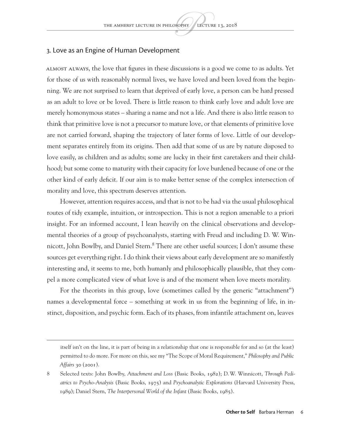#### 3. Love as an Engine of Human Development

Almost always, the love that figures in these discussions is a good we come to as adults. Yet for those of us with reasonably normal lives, we have loved and been loved from the beginning. We are not surprised to learn that deprived of early love, a person can be hard pressed as an adult to love or be loved. There is little reason to think early love and adult love are merely homonymous states – sharing a name and not a life. And there is also little reason to think that primitive love is not a precursor to mature love, or that elements of primitive love are not carried forward, shaping the trajectory of later forms of love. Little of our development separates entirely from its origins. Then add that some of us are by nature disposed to love easily, as children and as adults; some are lucky in their first caretakers and their childhood; but some come to maturity with their capacity for love burdened because of one or the other kind of early deficit. If our aim is to make better sense of the complex intersection of morality and love, this spectrum deserves attention.

However, attention requires access, and that is not to be had via the usual philosophical routes of tidy example, intuition, or introspection. This is not a region amenable to a priori insight. For an informed account, I lean heavily on the clinical observations and developmental theories of a group of psychoanalysts, starting with Freud and including D. W. Winnicott, John Bowlby, and Daniel Stern.8 There are other useful sources; I don't assume these sources get everything right. I do think their views about early development are so manifestly interesting and, it seems to me, both humanly and philosophically plausible, that they compel a more complicated view of what love is and of the moment when love meets morality.

For the theorists in this group, love (sometimes called by the generic "attachment") names a developmental force – something at work in us from the beginning of life, in instinct, disposition, and psychic form. Each of its phases, from infantile attachment on, leaves

itself isn't on the line, it is part of being in a relationship that one is responsible for and so (at the least) permitted to do more. For more on this, see my "The Scope of Moral Requirement," *Philosophy and Public Affairs* 30 (2001).

<sup>8</sup> Selected texts: John Bowlby, *Attachment and Loss* (Basic Books, 1982); D.W. Winnicott, *Through Pediatrics to Psycho-Analysis* (Basic Books, 1975) and *Psychoanalytic Explorations* (Harvard University Press, 1989); Daniel Stern, *The Interpersonal World of the Infant* (Basic Books, 1985).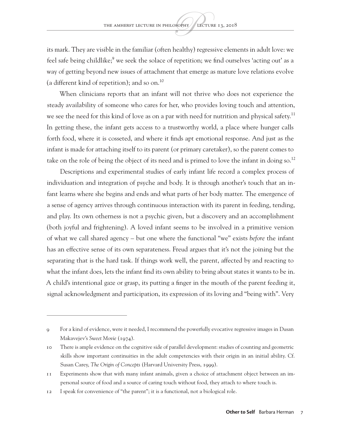its mark. They are visible in the familiar (often healthy) regressive elements in adult love: we feel safe being childlike;<sup>9</sup> we seek the solace of repetition; we find ourselves 'acting out' as a way of getting beyond new issues of attachment that emerge as mature love relations evolve (a different kind of repetition); and so on.<sup>10</sup>

When clinicians reports that an infant will not thrive who does not experience the steady availability of someone who cares for her, who provides loving touch and attention, we see the need for this kind of love as on a par with need for nutrition and physical safety.<sup>11</sup> In getting these, the infant gets access to a trustworthy world, a place where hunger calls forth food, where it is cosseted, and where it finds apt emotional response. And just as the infant is made for attaching itself to its parent (or primary caretaker), so the parent comes to take on the role of being the object of its need and is primed to love the infant in doing so.<sup>12</sup>

Descriptions and experimental studies of early infant life record a complex process of individuation and integration of psyche and body. It is through another's touch that an infant learns where she begins and ends and what parts of her body matter. The emergence of a sense of agency arrives through continuous interaction with its parent in feeding, tending, and play. Its own otherness is not a psychic given, but a discovery and an accomplishment (both joyful and frightening). A loved infant seems to be involved in a primitive version of what we call shared agency – but one where the functional "we" exists *before* the infant has an effective sense of its own separateness. Freud argues that it's not the joining but the separating that is the hard task. If things work well, the parent, affected by and reacting to what the infant does, lets the infant find its own ability to bring about states it wants to be in. A child's intentional gaze or grasp, its putting a finger in the mouth of the parent feeding it, signal acknowledgment and participation, its expression of its loving and "being with". Very

<sup>9</sup> For a kind of evidence, were it needed, I recommend the powerfully evocative regressive images in Dusan Makavejev's *Sweet Movie* (1974).

<sup>10</sup> There is ample evidence on the cognitive side of parallel development: studies of counting and geometric skills show important continuities in the adult competencies with their origin in an initial ability. Cf. Susan Carey, *The Origin of Concepts* (Harvard University Press, 1999).

<sup>11</sup> Experiments show that with many infant animals, given a choice of attachment object between an impersonal source of food and a source of caring touch without food, they attach to where touch is.

<sup>12</sup> I speak for convenience of "the parent"; it is a functional, not a biological role.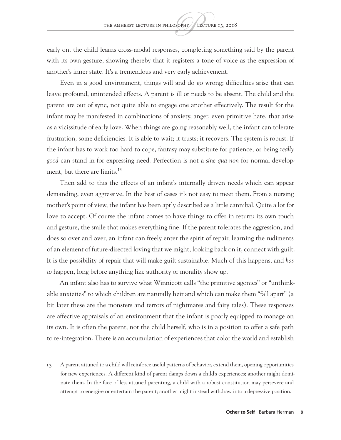early on, the child learns cross-modal responses, completing something said by the parent with its own gesture, showing thereby that it registers a tone of voice as the expression of another's inner state. It's a tremendous and very early achievement.

Even in a good environment, things will and do go wrong; difficulties arise that can leave profound, unintended effects. A parent is ill or needs to be absent. The child and the parent are out of sync, not quite able to engage one another effectively. The result for the infant may be manifested in combinations of anxiety, anger, even primitive hate, that arise as a vicissitude of early love. When things are going reasonably well, the infant can tolerate frustration, some deficiencies. It is able to wait; it trusts; it recovers. The system is robust. If the infant has to work too hard to cope, fantasy may substitute for patience, or being *really good* can stand in for expressing need. Perfection is not a *sine qua non* for normal development, but there are limits.<sup>13</sup>

Then add to this the effects of an infant's internally driven needs which can appear demanding, even aggressive. In the best of cases it's not easy to meet them. From a nursing mother's point of view, the infant has been aptly described as a little cannibal. Quite a lot for love to accept. Of course the infant comes to have things to offer in return: its own touch and gesture, the smile that makes everything fine. If the parent tolerates the aggression, and does so over and over, an infant can freely enter the spirit of repair, learning the rudiments of an element of future-directed loving that we might, looking back on it, connect with guilt. It is the possibility of repair that will make guilt sustainable. Much of this happens, and *has to* happen, long before anything like authority or morality show up.

An infant also has to survive what Winnicott calls "the primitive agonies" or "unthinkable anxieties" to which children are naturally heir and which can make them "fall apart" (a bit later these are the monsters and terrors of nightmares and fairy tales). These responses are affective appraisals of an environment that the infant is poorly equipped to manage on its own. It is often the parent, not the child herself, who is in a position to offer a safe path to re-integration. There is an accumulation of experiences that color the world and establish

<sup>13</sup> A parent attuned to a child will reinforce useful patterns of behavior, extend them, opening opportunities for new experiences. A different kind of parent damps down a child's experiences; another might dominate them. In the face of less attuned parenting, a child with a robust constitution may persevere and attempt to energize or entertain the parent; another might instead withdraw into a depressive position.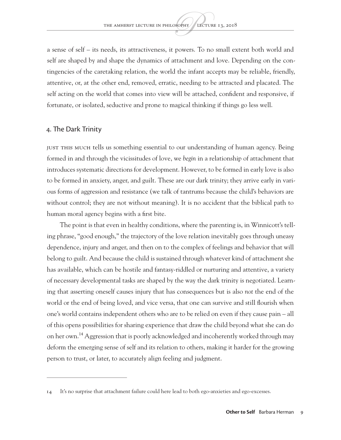a sense of self – its needs, its attractiveness, it powers. To no small extent both world and self are shaped by and shape the dynamics of attachment and love. Depending on the contingencies of the caretaking relation, the world the infant accepts may be reliable, friendly, attentive, or, at the other end, removed, erratic, needing to be attracted and placated. The self acting on the world that comes into view will be attached, confident and responsive, if fortunate, or isolated, seductive and prone to magical thinking if things go less well.

#### 4. The Dark Trinity

Just this much tells us something essential to our understanding of human agency. Being formed in and through the vicissitudes of love, we *begin* in a relationship of attachment that introduces systematic directions for development. However, to be formed in early love is also to be formed in anxiety, anger, and guilt. These are our dark trinity; they arrive early in various forms of aggression and resistance (we talk of tantrums because the child's behaviors are without control; they are not without meaning). It is no accident that the biblical path to human moral agency begins with a first bite.

The point is that even in healthy conditions, where the parenting is, in Winnicott's telling phrase, "good enough," the trajectory of the love relation inevitably goes through uneasy dependence, injury and anger, and then on to the complex of feelings and behavior that will belong to guilt. And because the child is sustained through whatever kind of attachment she has available, which can be hostile and fantasy-riddled or nurturing and attentive, a variety of necessary developmental tasks are shaped by the way the dark trinity is negotiated. Learning that asserting oneself causes injury that has consequences but is also *not* the end of the world or the end of being loved, and vice versa, that one can survive and still flourish when one's world contains independent others who are to be relied on even if they cause pain – all of this opens possibilities for sharing experience that draw the child beyond what she can do on her own.14 Aggression that is poorly acknowledged and incoherently worked through may deform the emerging sense of self and its relation to others, making it harder for the growing person to trust, or later, to accurately align feeling and judgment.

<sup>14</sup> It's no surprise that attachment failure could here lead to both ego-anxieties and ego-excesses.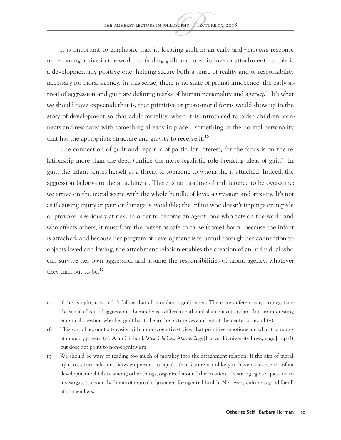It is important to emphasize that in locating guilt in an early and *nonmoral* response to becoming active in the world, in finding guilt anchored in love or attachment, its role is a developmentally positive one, helping secure both a sense of reality and of responsibility necessary for moral agency. In this sense, there is no state of primal innocence: the early arrival of aggression and guilt are defining marks of human personality and agency.<sup>15</sup> It's what we should have expected: that is, that primitive or proto-moral forms would show up in the story of development so that adult morality, when it is introduced to older children, connects and resonates with something already in place – something in the normal personality that has the appropriate structure and gravity to receive it.<sup>16</sup>

The connection of guilt and repair is of particular interest, for the focus is on the relationship more than the deed (unlike the more legalistic rule-breaking ideas of guilt). In guilt the infant senses herself as a threat to someone to whom she is attached. Indeed, the aggression belongs to the attachment. There is no baseline of indifference to be overcome: we arrive on the moral scene with the whole bundle of love, aggression and anxiety. It's not as if causing injury or pain or damage is avoidable; the infant who doesn't impinge or impede or provoke is seriously at risk. In order to become an agent, one who acts on the world and who affects others, it must from the outset be safe to cause (some) harm. Because the infant is attached, and because her program of development is to unfurl through her connection to objects loved and loving, the attachment relation enables the creation of an individual who can survive her own aggression and assume the responsibilities of moral agency, whatever they turn out to be.<sup>17</sup>

<sup>15</sup> If this is right, it wouldn't follow that all morality is guilt-based. There are different ways to negotiate the social affects of aggression – hierarchy is a different path and shame its attendant. It is an interesting empirical question whether guilt has to be in the picture (even if not at the center of morality).

<sup>16</sup> This sort of account sits easily with a non-cognitivist view that primitive emotions are what the norms of morality govern (cf. Alan Gibbard, *Wise Choices*, *Apt Feelings* [Harvard University Press, 1990], 141ff), but does not point to non-cognitivism.

<sup>17</sup> We should be wary of reading too much of morality into the attachment relation. If the aim of morality is to secure relations between persons as equals, that feature is unlikely to have its source in infant development which is, among other things, organized around the creation of a strong ego. A question to investigate is about the limits of mutual adjustment for agential health. Not every culture is good for all of its members.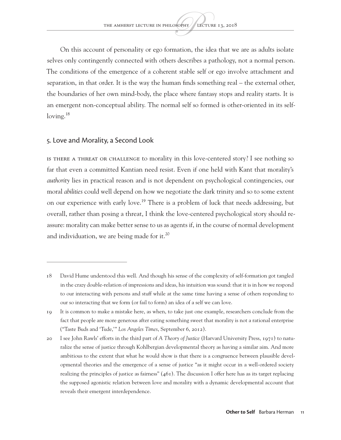On this account of personality or ego formation, the idea that we are as adults isolate selves only contingently connected with others describes a pathology, not a normal person. The conditions of the emergence of a coherent stable self or ego involve attachment and separation, in that order. It is the way the human finds something real – the external other, the boundaries of her own mind-body, the place where fantasy stops and reality starts. It is an emergent non-conceptual ability. The normal self so formed is other-oriented in its selfloving. $^{18}$ 

#### 5. Love and Morality, a Second Look

Is there a threat or challenge to morality in this love-centered story? I see nothing so far that even a committed Kantian need resist. Even if one held with Kant that morality's *authority* lies in practical reason and is not dependent on psychological contingencies, our moral *abilities* could well depend on how we negotiate the dark trinity and so to some extent on our experience with early love.19 There is a problem of luck that needs addressing, but overall, rather than posing a threat, I think the love-centered psychological story should reassure: morality can make better sense to us as agents if, in the course of normal development and individuation, we are being made for it. $^{20}$ 

<sup>18</sup> David Hume understood this well. And though his sense of the complexity of self-formation got tangled in the crazy double-relation of impressions and ideas, his intuition was sound: that it is in how we respond to our interacting with persons and stuff while at the same time having a sense of others responding to our so interacting that we form (or fail to form) an idea of a self we can love.

<sup>19</sup> It is common to make a mistake here, as when, to take just one example, researchers conclude from the fact that people are more generous after eating something sweet that morality is not a rational enterprise ("Taste Buds and 'Tude,'" *Los Angeles Times*, September 6, 2012).

<sup>20</sup> I see John Rawls' efforts in the third part of *A Theory of Justice* (Harvard University Press, 1971) to naturalize the sense of justice through Kohlbergian developmental theory as having a similar aim. And more ambitious to the extent that what he would show is that there is a congruence between plausible developmental theories and the emergence of a sense of justice "as it might occur in a well-ordered society realizing the principles of justice as fairness"  $(461)$ . The discussion I offer here has as its target replacing the supposed agonistic relation between love and morality with a dynamic developmental account that reveals their emergent interdependence.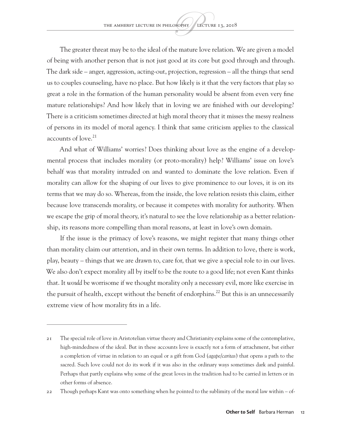The greater threat may be to the ideal of the mature love relation. We are given a model of being with another person that is not just good at its core but good through and through. The dark side – anger, aggression, acting-out, projection, regression – all the things that send us to couples counseling, have no place. But how likely is it that the very factors that play so great a role in the formation of the human personality would be absent from even very fine mature relationships? And how likely that in loving we are finished with our developing? There is a criticism sometimes directed at high moral theory that it misses the messy realness of persons in its model of moral agency. I think that same criticism applies to the classical accounts of love.<sup>21</sup>

And what of Williams' worries? Does thinking about love as the engine of a developmental process that includes morality (or proto-morality) help? Williams' issue on love's behalf was that morality intruded on and wanted to dominate the love relation. Even if morality can allow for the shaping of our lives to give prominence to our loves, it is on its terms that we may do so. Whereas, from the inside, the love relation resists this claim, either because love transcends morality, or because it competes with morality for authority. When we escape the grip of moral theory, it's natural to see the love relationship as a better relationship, its reasons more compelling than moral reasons, at least in love's own domain.

If the issue is the primacy of love's reasons, we might register that many things other than morality claim our attention, and in their own terms. In addition to love, there is work, play, beauty – things that we are drawn to, care for, that we give a special role to in our lives. We also don't expect morality all by itself to be the route to a good life; not even Kant thinks that. It *would* be worrisome if we thought morality only a necessary evil, more like exercise in the pursuit of health, except without the benefit of endorphins.<sup>22</sup> But this is an unnecessarily extreme view of how morality fits in a life.

<sup>21</sup> The special role of love in Aristotelian virtue theory and Christianity explains some of the contemplative, high-mindedness of the ideal. But in these accounts love is exactly *not* a form of attachment, but either a completion of virtue in relation to an equal or a gift from God (*agape*/*caritas*) that opens a path to the sacred. Such love could not do its work if it was also in the ordinary ways sometimes dark and painful. Perhaps that partly explains why some of the great loves in the tradition had to be carried in letters or in other forms of absence.

<sup>22</sup> Though perhaps Kant was onto something when he pointed to the sublimity of the moral law within – of-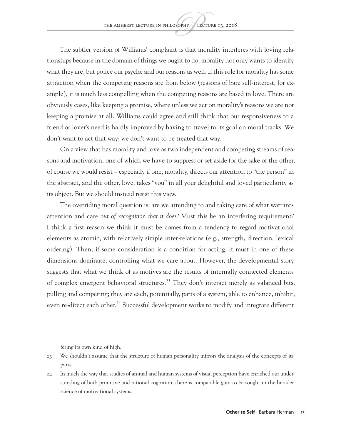The subtler version of Williams' complaint is that morality interferes with loving relationships because in the domain of things we ought to do, morality not only wants to identify what they are, but police our psyche and our reasons as well. If this role for morality has some attraction when the competing reasons are from below (reasons of bare self-interest, for example), it is much less compelling when the competing reasons are based in love. There are obviously cases, like keeping a promise, where unless we act on morality's reasons we are not keeping a promise at all. Williams could agree and still think that our responsiveness to a friend or lover's need is hardly improved by having to travel to its goal on moral tracks. We don't want to act that way; we don't want to be treated that way.

On a view that has morality and love as two independent and competing streams of reasons and motivation, one of which we have to suppress or set aside for the sake of the other, of course we would resist – especially if one, morality, directs our attention to "the person" in the abstract, and the other, love, takes "you" in all your delightful and loved particularity as its object. But we should instead resist this view.

The overriding moral question is: are we attending to and taking care of what warrants attention and care *out of recognition that it does*? Must this be an interfering requirement? I think a first reason we think it must be comes from a tendency to regard motivational elements as atomic, with relatively simple inter-relations (e.g., strength, direction, lexical ordering). Then, if some consideration is a condition for acting, it must in one of these dimensions dominate, controlling what we care about. However, the developmental story suggests that what we think of as motives are the results of internally connected elements of complex emergent behavioral structures.<sup>23</sup> They don't interact merely as valanced bits, pulling and competing; they are each, potentially, parts of a system, able to enhance, inhibit, even re-direct each other.<sup>24</sup> Successful development works to modify and integrate different

fering its own kind of high.

<sup>23</sup> We shouldn't assume that the structure of human personality mirrors the analysis of the concepts of its parts.

<sup>24</sup> In much the way that studies of animal and human systems of visual perception have enriched our understanding of both primitive and rational cognition, there is comparable gain to be sought in the broader science of motivational systems.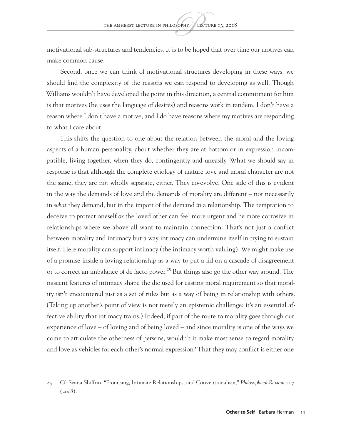motivational sub-structures and tendencies. It is to be hoped that over time our motives can make common cause.

Second, once we can think of motivational structures developing in these ways, we should find the complexity of the reasons we can respond to developing as well. Though Williams wouldn't have developed the point in this direction, a central commitment for him is that motives (he uses the language of desires) and reasons work in tandem. I don't have a reason where I don't have a motive, and I do have reasons where my motives are responding to what I care about.

This shifts the question to one about the relation between the moral and the loving aspects of a human personality, about whether they are at bottom or in expression incompatible, living together, when they do, contingently and uneasily. What we should say in response is that although the complete etiology of mature love and moral character are not the same, they are not wholly separate, either. They co-evolve. One side of this is evident in the way the demands of love and the demands of morality are different – not necessarily in *what* they demand, but in the import of the demand *in* a relationship. The temptation to deceive to protect oneself *or* the loved other can feel more urgent and be more corrosive in relationships where we above all want to maintain connection. That's not just a conflict between morality and intimacy but a way intimacy can undermine itself in trying to sustain itself. Here morality can support intimacy (the intimacy worth valuing). We might make use of a promise inside a loving relationship as a way to put a lid on a cascade of disagreement or to correct an imbalance of de facto power.<sup>25</sup> But things also go the other way around. The nascent features of intimacy shape the die used for casting moral requirement so that morality isn't encountered just as a set of rules but as a way of being in relationship with others. (Taking up another's point of view is not merely an epistemic challenge: it's an essential affective ability that intimacy trains.) Indeed, if part of the route to morality goes through our experience of love – of loving and of being loved – and since morality is one of the ways we come to articulate the otherness of persons, wouldn't it make most sense to regard morality and love as vehicles for each other's normal expression? That they may conflict is either one

<sup>25</sup> Cf. Seana Shiffrin, "Promising, Intimate Relationships, and Conventionalism," *Philosophical Review* 117 (2008).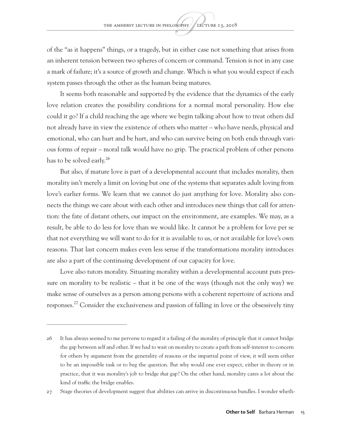of the "as it happens" things, or a tragedy, but in either case not something that arises from an inherent tension between two spheres of concern or command. Tension is not in any case a mark of failure; it's a source of growth and change. Which is what you would expect if each system passes through the other as the human being matures.

It seems both reasonable and supported by the evidence that the dynamics of the early love relation creates the possibility conditions for a normal moral personality. How else could it go? If a child reaching the age where we begin talking about how to treat others did not already have in view the existence of others who matter – who have needs, physical and emotional, who can hurt and be hurt, and who can survive being on both ends through various forms of repair – moral talk would have no grip. The practical problem of other persons has to be solved early.<sup>26</sup>

But also, if mature love is part of a developmental account that includes morality, then morality isn't merely a limit on loving but one of the systems that separates adult loving from love's earlier forms. We learn that we cannot do just anything for love. Morality also connects the things we care about with each other and introduces new things that call for attention: the fate of distant others, our impact on the environment, are examples. We may, as a result, be able to do less for love than we would like. It cannot be a problem for love per se that not everything we will want to do for it is available to us, or not available for love's own reasons. That last concern makes even less sense if the transformations morality introduces are also a part of the continuing development of our capacity for love.

Love also tutors morality. Situating morality within a developmental account puts pressure on morality to be realistic – that it be one of the ways (though not the only way) we make sense of ourselves as a person among persons with a coherent repertoire of actions and responses.27 Consider the exclusiveness and passion of falling in love or the obsessively tiny

<sup>26</sup> It has always seemed to me perverse to regard it a failing of the morality of principle that it cannot bridge the gap between self and other. If we had to wait on morality to create a path from self-interest to concern for others by argument from the generality of reasons or the impartial point of view, it will seem either to be an impossible task or to beg the question. But why would one ever expect, either in theory or in practice, that it was morality's job to bridge *that* gap? On the other hand, morality cares a lot about the kind of traffic the bridge enables.

<sup>27</sup> Stage theories of development suggest that abilities can arrive in discontinuous bundles. I wonder wheth-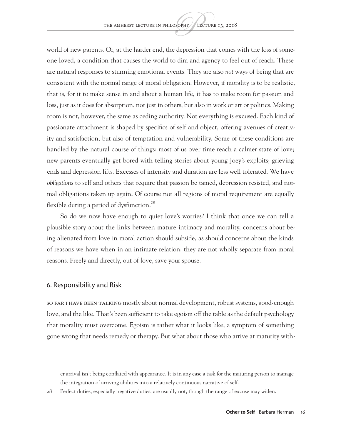world of new parents. Or, at the harder end, the depression that comes with the loss of someone loved, a condition that causes the world to dim and agency to feel out of reach. These are natural responses to stunning emotional events. They are also *not* ways of being that are consistent with the normal range of moral obligation. However, if morality is to be realistic, that is, for it to make sense in and about a human life, it has to make room for passion and loss, just as it does for absorption, not just in others, but also in work or art or politics. Making room is not, however, the same as ceding authority. Not everything is excused. Each kind of passionate attachment is shaped by specifics of self and object, offering avenues of creativity and satisfaction, but also of temptation and vulnerability. Some of these conditions are handled by the natural course of things: most of us over time reach a calmer state of love; new parents eventually get bored with telling stories about young Joey's exploits; grieving ends and depression lifts. Excesses of intensity and duration are less well tolerated. We have *obligations* to self and others that require that passion be tamed, depression resisted, and normal obligations taken up again. Of course not all regions of moral requirement are equally flexible during a period of dysfunction.<sup>28</sup>

So do we now have enough to quiet love's worries? I think that once we can tell a plausible story about the links between mature intimacy and morality, concerns about being alienated from love in moral action should subside, as should concerns about the kinds of reasons we have when in an intimate relation: they are not wholly separate from moral reasons. Freely and directly, out of love, save your spouse.

#### 6. Responsibility and Risk

So far I have been talking mostly about normal development, robust systems, good-enough love, and the like. That's been sufficient to take egoism off the table as the default psychology that morality must overcome. Egoism is rather what it looks like, a symptom of something gone wrong that needs remedy or therapy. But what about those who arrive at maturity with-

er arrival isn't being conflated with appearance. It is in any case a task for the maturing person to manage the integration of arriving abilities into a relatively continuous narrative of self.

<sup>28</sup> Perfect duties, especially negative duties, are usually not, though the range of excuse may widen.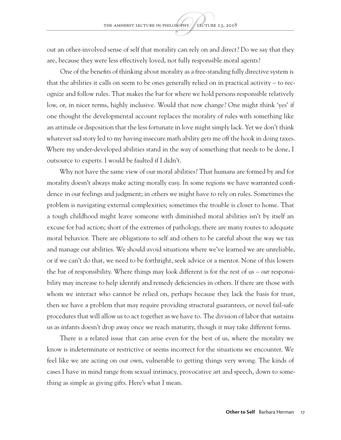out an other-involved sense of self that morality can rely on and direct? Do we say that they are, because they were less effectively loved, not fully responsible moral agents?

One of the benefits of thinking about morality as a free-standing fully directive system is that the abilities it calls on seem to be ones generally relied on in practical activity – to recognize and follow rules. That makes the bar for where we hold persons responsible relatively low, or, in nicer terms, highly inclusive. Would that now change? One might think 'yes' if one thought the developmental account replaces the morality of rules with something like an attitude or disposition that the less fortunate in love might simply lack. Yet we don't think whatever sad story led to my having insecure math ability gets me off the hook in doing taxes. Where my under-developed abilities stand in the way of something that needs to be done, I outsource to experts. I would be faulted if I didn't.

Why not have the same view of our moral abilities? That humans are formed by and for morality doesn't always make acting morally easy. In some regions we have warranted confidence in our feelings and judgment; in others we might have to rely on rules. Sometimes the problem is navigating external complexities; sometimes the trouble is closer to home. That a tough childhood might leave someone with diminished moral abilities isn't by itself an excuse for bad action; short of the extremes of pathology, there are many routes to adequate moral behavior. There are obligations to self and others to be careful about the way we tax and manage our abilities. We should avoid situations where we've learned we are unreliable, or if we can't do that, we need to be forthright, seek advice or a mentor. None of this lowers the bar of responsibility. Where things may look different is for the rest of us – *our* responsibility may increase to help identify and remedy deficiencies in others. If there are those with whom we interact who cannot be relied on, perhaps because they lack the basis for trust, then *we* have a problem that may require providing structural guarantees, or novel fail-safe procedures that will allow us to act together as we have to. The division of labor that sustains us as infants doesn't drop away once we reach maturity, though it may take different forms.

There is a related issue that can arise even for the best of us, where the morality we know is indeterminate or restrictive or seems incorrect for the situations we encounter. We feel like we are acting on our own, vulnerable to getting things very wrong. The kinds of cases I have in mind range from sexual intimacy, provocative art and speech, down to something as simple as giving gifts. Here's what I mean.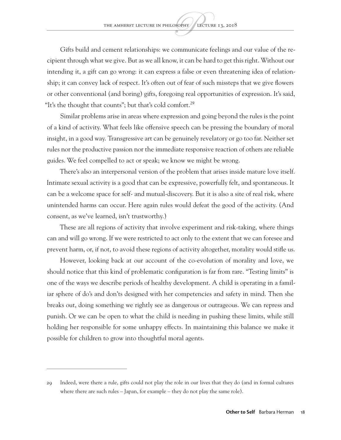Gifts build and cement relationships: we communicate feelings and our value of the recipient through what we give. But as we all know, it can be hard to get this right. Without our intending it, a gift can go wrong: it can express a false or even threatening idea of relationship; it can convey lack of respect. It's often out of fear of such missteps that we give flowers or other conventional (and boring) gifts, foregoing real opportunities of expression. It's said, "It's the thought that counts"; but that's cold comfort.<sup>29</sup>

Similar problems arise in areas where expression and going beyond the rules is the point of a kind of activity. What feels like offensive speech can be pressing the boundary of moral insight, in a good way. Transgressive art can be genuinely revelatory or go too far. Neither set rules nor the productive passion nor the immediate responsive reaction of others are reliable guides. We feel compelled to act or speak; we know we might be wrong.

There's also an interpersonal version of the problem that arises inside mature love itself. Intimate sexual activity is a good that can be expressive, powerfully felt, and spontaneous. It can be a welcome space for self- and mutual-discovery. But it is also a site of real risk, where unintended harms can occur. Here again rules would defeat the good of the activity. (And consent, as we've learned, isn't trustworthy.)

These are all regions of activity that involve experiment and risk-taking, where things can and will go wrong. If we were restricted to act only to the extent that we can foresee and prevent harm, or, if not, to avoid these regions of activity altogether, morality would stifle us.

However, looking back at our account of the co-evolution of morality and love, we should notice that this kind of problematic configuration is far from rare. "Testing limits" is one of the ways we describe periods of healthy development. A child is operating in a familiar sphere of do's and don'ts designed with her competencies and safety in mind. Then she breaks out, doing something we rightly see as dangerous or outrageous. We can repress and punish. Or we can be open to what the child is needing in pushing these limits, while still holding her responsible for some unhappy effects. In maintaining this balance we make it possible for children to grow into thoughtful moral agents.

<sup>29</sup> Indeed, were there a rule, gifts could not play the role in our lives that they do (and in formal cultures where there are such rules – Japan, for example – they do not play the same role).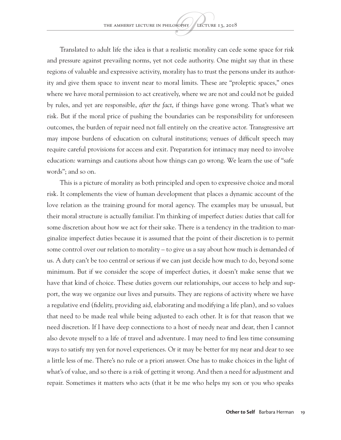Translated to adult life the idea is that a realistic morality can cede some space for risk and pressure against prevailing norms, yet not cede authority. One might say that in these regions of valuable and expressive activity, morality has to trust the persons under its authority and give them space to invent near to moral limits. These are "proleptic spaces," ones where we have moral permission to act creatively, where we are not and could not be guided by rules, and yet are responsible, *after the fact*, if things have gone wrong. That's what we risk. But if the moral price of pushing the boundaries can be responsibility for unforeseen outcomes, the burden of repair need not fall entirely on the creative actor. Transgressive art may impose burdens of education on cultural institutions; venues of difficult speech may require careful provisions for access and exit. Preparation for intimacy may need to involve education: warnings and cautions about how things can go wrong. We learn the use of "safe words"; and so on.

This is a picture of morality as both principled and open to expressive choice and moral risk. It complements the view of human development that places a dynamic account of the love relation as the training ground for moral agency. The examples may be unusual, but their moral structure is actually familiar. I'm thinking of imperfect duties: duties that call for some discretion about how we act for their sake. There is a tendency in the tradition to marginalize imperfect duties because it is assumed that the point of their discretion is to permit some control over our relation to morality – to give us a say about how much is demanded of us. A duty can't be too central or serious if we can just decide how much to do, beyond some minimum. But if we consider the scope of imperfect duties, it doesn't make sense that we have that kind of choice. These duties govern our relationships, our access to help and support, the way we organize our lives and pursuits. They are regions of activity where we have a regulative end (fidelity, providing aid, elaborating and modifying a life plan), and so values that need to be made real while being adjusted to each other. It is for that reason that we need discretion. If I have deep connections to a host of needy near and dear, then I cannot also devote myself to a life of travel and adventure. I may need to find less time consuming ways to satisfy my yen for novel experiences. Or it may be better for my near and dear to see a little less of me. There's no rule or a priori answer. One has to make choices in the light of what's of value, and so there is a risk of getting it wrong. And then a need for adjustment and repair. Sometimes it matters who acts (that it be me who helps my son or you who speaks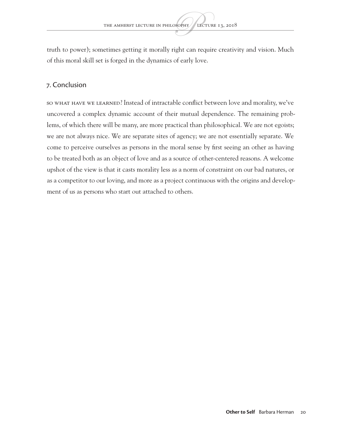truth to power); sometimes getting it morally right can require creativity and vision. Much of this moral skill set is forged in the dynamics of early love.

#### 7. Conclusion

SO WHAT HAVE WE LEARNED? Instead of intractable conflict between love and morality, we've uncovered a complex dynamic account of their mutual dependence. The remaining problems, of which there will be many, are more practical than philosophical. We are not egoists; we are not always nice. We are separate sites of agency; we are not essentially separate. We come to perceive ourselves as persons in the moral sense by first seeing an other as having to be treated both as an object of love and as a source of other-centered reasons. A welcome upshot of the view is that it casts morality less as a norm of constraint on our bad natures, or as a competitor to our loving, and more as a project continuous with the origins and development of us as persons who start out attached to others.